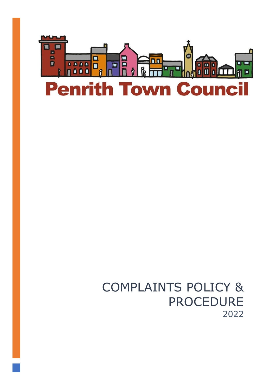

# COMPLAINTS POLICY & PROCEDURE 2022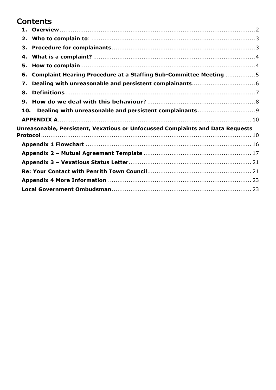# **Contents**

| 2.                                                                             |  |
|--------------------------------------------------------------------------------|--|
| 3.                                                                             |  |
| 4.                                                                             |  |
| 5.                                                                             |  |
| Complaint Hearing Procedure at a Staffing Sub-Committee Meeting 5<br>6.        |  |
| 7.                                                                             |  |
| 8.                                                                             |  |
| 9.                                                                             |  |
| 10.                                                                            |  |
|                                                                                |  |
| Unreasonable, Persistent, Vexatious or Unfocussed Complaints and Data Requests |  |
|                                                                                |  |
|                                                                                |  |
|                                                                                |  |
|                                                                                |  |
|                                                                                |  |
|                                                                                |  |
|                                                                                |  |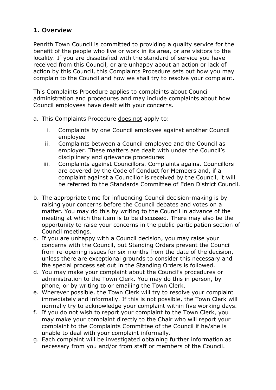# <span id="page-2-0"></span>**1. Overview**

Penrith Town Council is committed to providing a quality service for the benefit of the people who live or work in its area, or are visitors to the locality. If you are dissatisfied with the standard of service you have received from this Council, or are unhappy about an action or lack of action by this Council, this Complaints Procedure sets out how you may complain to the Council and how we shall try to resolve your complaint.

This Complaints Procedure applies to complaints about Council administration and procedures and may include complaints about how Council employees have dealt with your concerns.

- a. This Complaints Procedure does not apply to:
	- i. Complaints by one Council employee against another Council employee
	- ii. Complaints between a Council employee and the Council as employer. These matters are dealt with under the Council's disciplinary and grievance procedures
	- iii. Complaints against Councillors. Complaints against Councillors are covered by the Code of Conduct for Members and, if a complaint against a Councillor is received by the Council, it will be referred to the Standards Committee of Eden District Council.
- b. The appropriate time for influencing Council decision-making is by raising your concerns before the Council debates and votes on a matter. You may do this by writing to the Council in advance of the meeting at which the item is to be discussed. There may also be the opportunity to raise your concerns in the public participation section of Council meetings.
- c. If you are unhappy with a Council decision, you may raise your concerns with the Council, but Standing Orders prevent the Council from re-opening issues for six months from the date of the decision, unless there are exceptional grounds to consider this necessary and the special process set out in the Standing Orders is followed.
- d. You may make your complaint about the Council's procedures or administration to the Town Clerk. You may do this in person, by phone, or by writing to or emailing the Town Clerk.
- e. Wherever possible, the Town Clerk will try to resolve your complaint immediately and informally. If this is not possible, the Town Clerk will normally try to acknowledge your complaint within five working days.
- f. If you do not wish to report your complaint to the Town Clerk, you may make your complaint directly to the Chair who will report your complaint to the Complaints Committee of the Council if he/she is unable to deal with your complaint informally.
- g. Each complaint will be investigated obtaining further information as necessary from you and/or from staff or members of the Council.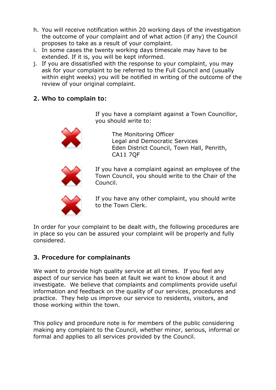- h. You will receive notification within 20 working days of the investigation the outcome of your complaint and of what action (if any) the Council proposes to take as a result of your complaint.
- i. In some cases the twenty working days timescale may have to be extended. If it is, you will be kept informed.
- j. If you are dissatisfied with the response to your complaint, you may ask for your complaint to be referred to the Full Council and (usually within eight weeks) you will be notified in writing of the outcome of the review of your original complaint.
- <span id="page-3-0"></span>**2. Who to complain to:**

If you have a complaint against a Town Councillor, you should write to:



The Monitoring Officer Legal and Democratic Services Eden District Council, Town Hall, Penrith, CA11 7QF



If you have a complaint against an employee of the Town Council, you should write to the Chair of the Council.



If you have any other complaint, you should write to the Town Clerk.

In order for your complaint to be dealt with, the following procedures are in place so you can be assured your complaint will be properly and fully considered.

# <span id="page-3-1"></span>**3. Procedure for complainants**

We want to provide high quality service at all times. If you feel any aspect of our service has been at fault we want to know about it and investigate. We believe that complaints and compliments provide useful information and feedback on the quality of our services, procedures and practice. They help us improve our service to residents, visitors, and those working within the town.

This policy and procedure note is for members of the public considering making any complaint to the Council, whether minor, serious, informal or formal and applies to all services provided by the Council.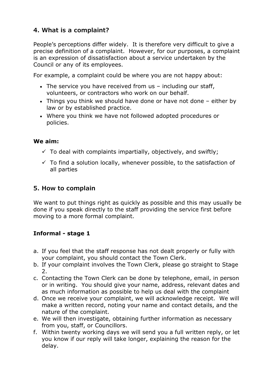# <span id="page-4-0"></span>**4. What is a complaint?**

People's perceptions differ widely. It is therefore very difficult to give a precise definition of a complaint. However, for our purposes, a complaint is an expression of dissatisfaction about a service undertaken by the Council or any of its employees.

For example, a complaint could be where you are not happy about:

- The service you have received from us including our staff, volunteers, or contractors who work on our behalf.
- Things you think we should have done or have not done either by law or by established practice.
- Where you think we have not followed adopted procedures or policies.

# **We aim:**

- $\checkmark$  To deal with complaints impartially, objectively, and swiftly;
- $\checkmark$  To find a solution locally, whenever possible, to the satisfaction of all parties

# <span id="page-4-1"></span>**5. How to complain**

We want to put things right as quickly as possible and this may usually be done if you speak directly to the staff providing the service first before moving to a more formal complaint.

# **Informal - stage 1**

- a. If you feel that the staff response has not dealt properly or fully with your complaint, you should contact the Town Clerk.
- b. If your complaint involves the Town Clerk, please go straight to Stage 2.
- c. Contacting the Town Clerk can be done by telephone, email, in person or in writing. You should give your name, address, relevant dates and as much information as possible to help us deal with the complaint
- d. Once we receive your complaint, we will acknowledge receipt. We will make a written record, noting your name and contact details, and the nature of the complaint.
- e. We will then investigate, obtaining further information as necessary from you, staff, or Councillors.
- f. Within twenty working days we will send you a full written reply, or let you know if our reply will take longer, explaining the reason for the delay.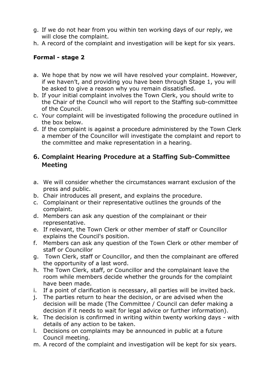- g. If we do not hear from you within ten working days of our reply, we will close the complaint.
- h. A record of the complaint and investigation will be kept for six years.

# **Formal - stage 2**

- a. We hope that by now we will have resolved your complaint. However, if we haven't, and providing you have been through Stage 1, you will be asked to give a reason why you remain dissatisfied.
- b. If your initial complaint involves the Town Clerk, you should write to the Chair of the Council who will report to the Staffing sub-committee of the Council.
- c. Your complaint will be investigated following the procedure outlined in the box below.
- d. If the complaint is against a procedure administered by the Town Clerk a member of the Councillor will investigate the complaint and report to the committee and make representation in a hearing.

# <span id="page-5-0"></span>**6. Complaint Hearing Procedure at a Staffing Sub-Committee Meeting**

- a. We will consider whether the circumstances warrant exclusion of the press and public.
- b. Chair introduces all present, and explains the procedure.
- c. Complainant or their representative outlines the grounds of the complaint.
- d. Members can ask any question of the complainant or their representative.
- e. If relevant, the Town Clerk or other member of staff or Councillor explains the Council's position.
- f. Members can ask any question of the Town Clerk or other member of staff or Councillor
- g. Town Clerk, staff or Councillor, and then the complainant are offered the opportunity of a last word.
- h. The Town Clerk, staff, or Councillor and the complainant leave the room while members decide whether the grounds for the complaint have been made.
- i. If a point of clarification is necessary, all parties will be invited back.
- j. The parties return to hear the decision, or are advised when the decision will be made (The Committee / Council can defer making a decision if it needs to wait for legal advice or further information).
- k. The decision is confirmed in writing within twenty working days with details of any action to be taken.
- l. Decisions on complaints may be announced in public at a future Council meeting.
- m. A record of the complaint and investigation will be kept for six years.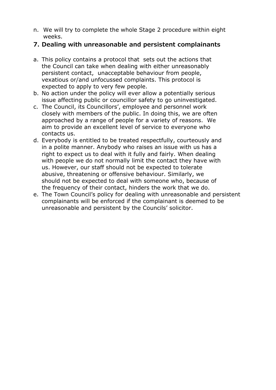n. We will try to complete the whole Stage 2 procedure within eight weeks.

### <span id="page-6-0"></span>**7. Dealing with unreasonable and persistent complainants**

- a. This policy contains a protocol that sets out the actions that the Council can take when dealing with either unreasonably persistent contact, unacceptable behaviour from people, vexatious or/and unfocussed complaints. This protocol is expected to apply to very few people.
- b. No action under the policy will ever allow a potentially serious issue affecting public or councillor safety to go uninvestigated.
- c. The Council, its Councillors', employee and personnel work closely with members of the public. In doing this, we are often approached by a range of people for a variety of reasons. We aim to provide an excellent level of service to everyone who contacts us.
- d. Everybody is entitled to be treated respectfully, courteously and in a polite manner. Anybody who raises an issue with us has a right to expect us to deal with it fully and fairly. When dealing with people we do not normally limit the contact they have with us. However, our staff should not be expected to tolerate abusive, threatening or offensive behaviour. Similarly, we should not be expected to deal with someone who, because of the frequency of their contact, hinders the work that we do.
- e. The Town Council's policy for dealing with unreasonable and persistent complainants will be enforced if the complainant is deemed to be unreasonable and persistent by the Councils' solicitor.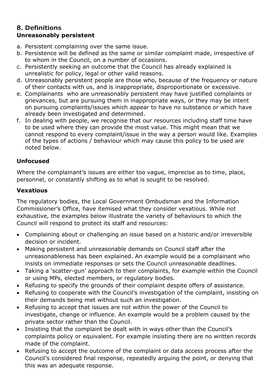### <span id="page-7-0"></span>**8. Definitions Unreasonably persistent**

- a. Persistent complaining over the same issue.
- b. Persistence will be defined as the same or similar complaint made, irrespective of to whom in the Council, on a number of occasions.
- c. Persistently seeking an outcome that the Council has already explained is unrealistic for policy, legal or other valid reasons.
- d. Unreasonably persistent people are those who, because of the frequency or nature of their contacts with us, and is inappropriate, disproportionate or excessive.
- e. Complainants who are unreasonably persistent may have justified complaints or grievances, but are pursuing them in inappropriate ways, or they may be intent on pursuing complaints/issues which appear to have no substance or which have already been investigated and determined.
- f. In dealing with people, we recognise that our resources including staff time have to be used where they can provide the most value. This might mean that we cannot respond to every complaint/issue in the way a person would like. Examples of the types of actions / behaviour which may cause this policy to be used are noted below.

# **Unfocused**

Where the complainant's issues are either too vague, imprecise as to time, place, personnel, or constantly shifting as to what is sought to be resolved.

# **Vexatious**

The regulatory bodies, the Local Government Ombudsman and the Information Commissioner's Office, have itemised what they consider vexatious. While not exhaustive, the examples below illustrate the variety of behaviours to which the Council will respond to protect its staff and resources:

- Complaining about or challenging an issue based on a historic and/or irreversible decision or incident.
- Making persistent and unreasonable demands on Council staff after the unreasonableness has been explained. An example would be a complainant who insists on immediate responses or sets the Council unreasonable deadlines.
- Taking a 'scatter-gun' approach to their complaints, for example within the Council or using MPs, elected members, or regulatory bodies.
- Refusing to specify the grounds of their complaint despite offers of assistance.
- Refusing to cooperate with the Council's investigation of the complaint, insisting on their demands being met without such an investigation.
- Refusing to accept that issues are not within the power of the Council to investigate, change or influence. An example would be a problem caused by the private sector rather than the Council.
- Insisting that the complaint be dealt with in ways other than the Council's complaints policy or equivalent. For example insisting there are no written records made of the complaint.
- Refusing to accept the outcome of the complaint or data access process after the Council's considered final response, repeatedly arguing the point, or denying that this was an adequate response.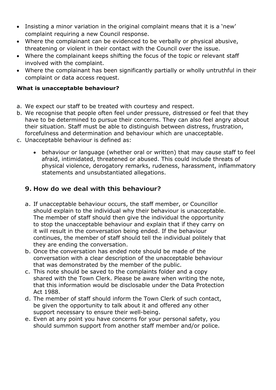- Insisting a minor variation in the original complaint means that it is a 'new' complaint requiring a new Council response.
- Where the complainant can be evidenced to be verbally or physical abusive, threatening or violent in their contact with the Council over the issue.
- Where the complainant keeps shifting the focus of the topic or relevant staff involved with the complaint.
- Where the complainant has been significantly partially or wholly untruthful in their complaint or data access request.

### **What is unacceptable behaviour?**

- a. We expect our staff to be treated with courtesy and respect.
- b. We recognise that people often feel under pressure, distressed or feel that they have to be determined to pursue their concerns. They can also feel angry about their situation. Staff must be able to distinguish between distress, frustration, forcefulness and determination and behaviour which are unacceptable.
- c. Unacceptable behaviour is defined as:
	- behaviour or language (whether oral or written) that may cause staff to feel afraid, intimidated, threatened or abused. This could include threats of physical violence, derogatory remarks, rudeness, harassment, inflammatory statements and unsubstantiated allegations.

# <span id="page-8-0"></span>**9. How do we deal with this behaviour?**

- a. If unacceptable behaviour occurs, the staff member, or Councillor should explain to the individual why their behaviour is unacceptable. The member of staff should then give the individual the opportunity to stop the unacceptable behaviour and explain that if they carry on it will result in the conversation being ended. If the behaviour continues, the member of staff should tell the individual politely that they are ending the conversation.
- b. Once the conversation has ended note should be made of the conversation with a clear description of the unacceptable behaviour that was demonstrated by the member of the public.
- c. This note should be saved to the complaints folder and a copy shared with the Town Clerk. Please be aware when writing the note, that this information would be disclosable under the Data Protection Act 1988.
- d. The member of staff should inform the Town Clerk of such contact, be given the opportunity to talk about it and offered any other support necessary to ensure their well-being.
- e. Even at any point you have concerns for your personal safety, you should summon support from another staff member and/or police.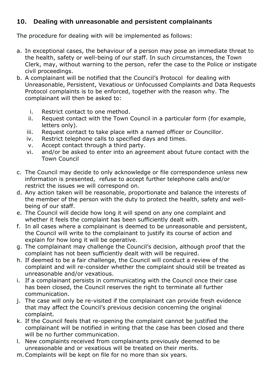# <span id="page-9-0"></span>**10. Dealing with unreasonable and persistent complainants**

The procedure for dealing with will be implemented as follows:

- a. In exceptional cases, the behaviour of a person may pose an immediate threat to the health, safety or well-being of our staff. In such circumstances, the Town Clerk, may, without warning to the person, refer the case to the Police or instigate civil proceedings.
- b. A complainant will be notified that the Council's Protocol for dealing with Unreasonable, Persistent, Vexatious or Unfocussed Complaints and Data Requests Protocol complaints is to be enforced, together with the reason why. The complainant will then be asked to:
	- i. Restrict contact to one method.
	- ii. Request contact with the Town Council in a particular form (for example, letters only).
	- iii. Request contact to take place with a named officer or Councillor.
	- iv. Restrict telephone calls to specified days and times.
	- v. Accept contact through a third party.
	- vi. and/or be asked to enter into an agreement about future contact with the Town Council
- c. The Council may decide to only acknowledge or file correspondence unless new information is presented, refuse to accept further telephone calls and/or restrict the issues we will correspond on.
- d. Any action taken will be reasonable, proportionate and balance the interests of the member of the person with the duty to protect the health, safety and wellbeing of our staff.
- e. The Council will decide how long it will spend on any one complaint and whether it feels the complaint has been sufficiently dealt with.
- f. In all cases where a complainant is deemed to be unreasonable and persistent, the Council will write to the complainant to justify its course of action and explain for how long it will be operative.
- g. The complainant may challenge the Council's decision, although proof that the complaint has not been sufficiently dealt with will be required.
- h. If deemed to be a fair challenge, the Council will conduct a review of the complaint and will re-consider whether the complaint should still be treated as unreasonable and/or vexatious.
- i. If a complainant persists in communicating with the Council once their case has been closed, the Council reserves the right to terminate all further communication.
- j. The case will only be re-visited if the complainant can provide fresh evidence that may affect the Council's previous decision concerning the original complaint.
- k. If the Council feels that re-opening the complaint cannot be justified the complainant will be notified in writing that the case has been closed and there will be no further communication.
- l. New complaints received from complainants previously deemed to be unreasonable and or vexatious will be treated on their merits.
- m.Complaints will be kept on file for no more than six years.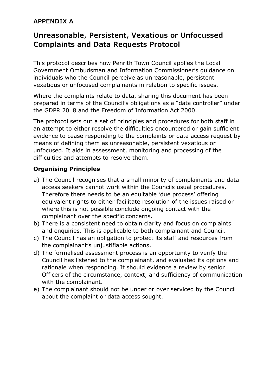# <span id="page-10-0"></span>**APPENDIX A**

# <span id="page-10-1"></span>**Unreasonable, Persistent, Vexatious or Unfocussed Complaints and Data Requests Protocol**

This protocol describes how Penrith Town Council applies the Local Government Ombudsman and Information Commissioner's guidance on individuals who the Council perceive as unreasonable, persistent vexatious or unfocused complainants in relation to specific issues.

Where the complaints relate to data, sharing this document has been prepared in terms of the Council's obligations as a "data controller" under the GDPR 2018 and the Freedom of Information Act 2000.

The protocol sets out a set of principles and procedures for both staff in an attempt to either resolve the difficulties encountered or gain sufficient evidence to cease responding to the complaints or data access request by means of defining them as unreasonable, persistent vexatious or unfocused. It aids in assessment, monitoring and processing of the difficulties and attempts to resolve them.

### **Organising Principles**

- a) The Council recognises that a small minority of complainants and data access seekers cannot work within the Councils usual procedures. Therefore there needs to be an equitable 'due process' offering equivalent rights to either facilitate resolution of the issues raised or where this is not possible conclude ongoing contact with the complainant over the specific concerns.
- b) There is a consistent need to obtain clarity and focus on complaints and enquiries. This is applicable to both complainant and Council.
- c) The Council has an obligation to protect its staff and resources from the complainant's unjustifiable actions.
- d) The formalised assessment process is an opportunity to verify the Council has listened to the complainant, and evaluated its options and rationale when responding. It should evidence a review by senior Officers of the circumstance, context, and sufficiency of communication with the complainant.
- e) The complainant should not be under or over serviced by the Council about the complaint or data access sought.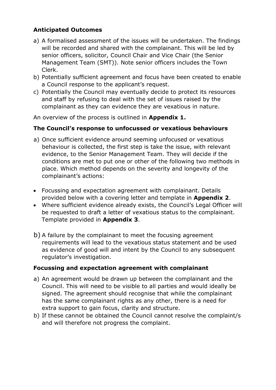# **Anticipated Outcomes**

- a) A formalised assessment of the issues will be undertaken. The findings will be recorded and shared with the complainant. This will be led by senior officers, solicitor, Council Chair and Vice Chair (the Senior Management Team (SMT)). Note senior officers includes the Town Clerk.
- b) Potentially sufficient agreement and focus have been created to enable a Council response to the applicant's request.
- c) Potentially the Council may eventually decide to protect its resources and staff by refusing to deal with the set of issues raised by the complainant as they can evidence they are vexatious in nature.

An overview of the process is outlined in **Appendix 1.**

### **The Council's response to unfocussed or vexatious behaviours**

- a) Once sufficient evidence around seeming unfocused or vexatious behaviour is collected, the first step is take the issue, with relevant evidence, to the Senior Management Team. They will decide if the conditions are met to put one or other of the following two methods in place. Which method depends on the severity and longevity of the complainant's actions:
- Focussing and expectation agreement with complainant. Details provided below with a covering letter and template in **Appendix 2**.
- Where sufficient evidence already exists, the Council's Legal Officer will be requested to draft a letter of vexatious status to the complainant. Template provided in **Appendix 3**.
- b) A failure by the complainant to meet the focusing agreement requirements will lead to the vexatious status statement and be used as evidence of good will and intent by the Council to any subsequent regulator's investigation.

### **Focussing and expectation agreement with complainant**

- a) An agreement would be drawn up between the complainant and the Council. This will need to be visible to all parties and would ideally be signed. The agreement should recognise that while the complainant has the same complainant rights as any other, there is a need for extra support to gain focus, clarity and structure.
- b) If these cannot be obtained the Council cannot resolve the complaint/s and will therefore not progress the complaint.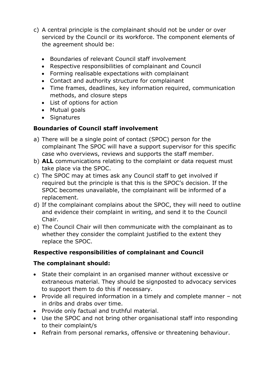- c) A central principle is the complainant should not be under or over serviced by the Council or its workforce. The component elements of the agreement should be:
	- Boundaries of relevant Council staff involvement
	- Respective responsibilities of complainant and Council
	- Forming realisable expectations with complainant
	- Contact and authority structure for complainant
	- Time frames, deadlines, key information required, communication methods, and closure steps
	- List of options for action
	- Mutual goals
	- Signatures

# **Boundaries of Council staff involvement**

- a) There will be a single point of contact (SPOC) person for the complainant The SPOC will have a support supervisor for this specific case who overviews, reviews and supports the staff member.
- b) **ALL** communications relating to the complaint or data request must take place via the SPOC.
- c) The SPOC may at times ask any Council staff to get involved if required but the principle is that this is the SPOC's decision. If the SPOC becomes unavailable, the complainant will be informed of a replacement.
- d) If the complainant complains about the SPOC, they will need to outline and evidence their complaint in writing, and send it to the Council Chair.
- e) The Council Chair will then communicate with the complainant as to whether they consider the complaint justified to the extent they replace the SPOC.

# **Respective responsibilities of complainant and Council**

### **The complainant should:**

- State their complaint in an organised manner without excessive or extraneous material. They should be signposted to advocacy services to support them to do this if necessary.
- Provide all required information in a timely and complete manner not in dribs and drabs over time.
- Provide only factual and truthful material.
- Use the SPOC and not bring other organisational staff into responding to their complaint/s
- Refrain from personal remarks, offensive or threatening behaviour.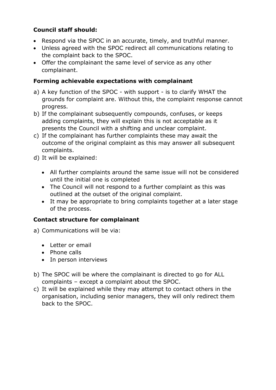# **Council staff should:**

- Respond via the SPOC in an accurate, timely, and truthful manner.
- Unless agreed with the SPOC redirect all communications relating to the complaint back to the SPOC.
- Offer the complainant the same level of service as any other complainant.

# **Forming achievable expectations with complainant**

- a) A key function of the SPOC with support is to clarify WHAT the grounds for complaint are. Without this, the complaint response cannot progress.
- b) If the complainant subsequently compounds, confuses, or keeps adding complaints, they will explain this is not acceptable as it presents the Council with a shifting and unclear complaint.
- c) If the complainant has further complaints these may await the outcome of the original complaint as this may answer all subsequent complaints.
- d) It will be explained:
	- All further complaints around the same issue will not be considered until the initial one is completed
	- The Council will not respond to a further complaint as this was outlined at the outset of the original complaint.
	- It may be appropriate to bring complaints together at a later stage of the process.

### **Contact structure for complainant**

- a) Communications will be via:
	- Letter or email
	- Phone calls
	- In person interviews
- b) The SPOC will be where the complainant is directed to go for ALL complaints – except a complaint about the SPOC.
- c) It will be explained while they may attempt to contact others in the organisation, including senior managers, they will only redirect them back to the SPOC.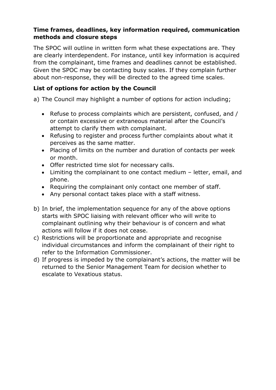# **Time frames, deadlines, key information required, communication methods and closure steps**

The SPOC will outline in written form what these expectations are. They are clearly interdependent. For instance, until key information is acquired from the complainant, time frames and deadlines cannot be established. Given the SPOC may be contacting busy scales. If they complain further about non-response, they will be directed to the agreed time scales.

# **List of options for action by the Council**

a) The Council may highlight a number of options for action including;

- Refuse to process complaints which are persistent, confused, and / or contain excessive or extraneous material after the Council's attempt to clarify them with complainant.
- Refusing to register and process further complaints about what it perceives as the same matter.
- Placing of limits on the number and duration of contacts per week or month.
- Offer restricted time slot for necessary calls.
- Limiting the complainant to one contact medium letter, email, and phone.
- Requiring the complainant only contact one member of staff.
- Any personal contact takes place with a staff witness.
- b) In brief, the implementation sequence for any of the above options starts with SPOC liaising with relevant officer who will write to complainant outlining why their behaviour is of concern and what actions will follow if it does not cease.
- c) Restrictions will be proportionate and appropriate and recognise individual circumstances and inform the complainant of their right to refer to the Information Commissioner.
- d) If progress is impeded by the complainant's actions, the matter will be returned to the Senior Management Team for decision whether to escalate to Vexatious status.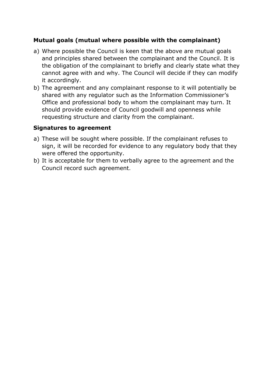### **Mutual goals (mutual where possible with the complainant)**

- a) Where possible the Council is keen that the above are mutual goals and principles shared between the complainant and the Council. It is the obligation of the complainant to briefly and clearly state what they cannot agree with and why. The Council will decide if they can modify it accordingly.
- b) The agreement and any complainant response to it will potentially be shared with any regulator such as the Information Commissioner's Office and professional body to whom the complainant may turn. It should provide evidence of Council goodwill and openness while requesting structure and clarity from the complainant.

### **Signatures to agreement**

- a) These will be sought where possible. If the complainant refuses to sign, it will be recorded for evidence to any regulatory body that they were offered the opportunity.
- b) It is acceptable for them to verbally agree to the agreement and the Council record such agreement.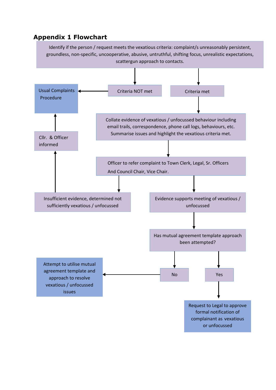# <span id="page-16-0"></span>**Appendix 1 Flowchart**

Identify if the person / request meets the vexatious criteria: complaint/s unreasonably persistent, groundless, non-specific, uncooperative, abusive, untruthful, shifting focus, unrealistic expectations, scattergun approach to contacts.

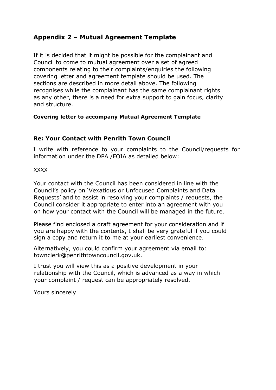# <span id="page-17-0"></span>**Appendix 2 – Mutual Agreement Template**

If it is decided that it might be possible for the complainant and Council to come to mutual agreement over a set of agreed components relating to their complaints/enquiries the following covering letter and agreement template should be used. The sections are described in more detail above. The following recognises while the complainant has the same complainant rights as any other, there is a need for extra support to gain focus, clarity and structure.

### **Covering letter to accompany Mutual Agreement Template**

### **Re: Your Contact with Penrith Town Council**

I write with reference to your complaints to the Council/requests for information under the DPA /FOIA as detailed below:

XXXX

Your contact with the Council has been considered in line with the Council's policy on 'Vexatious or Unfocused Complaints and Data Requests' and to assist in resolving your complaints / requests, the Council consider it appropriate to enter into an agreement with you on how your contact with the Council will be managed in the future.

Please find enclosed a draft agreement for your consideration and if you are happy with the contents, I shall be very grateful if you could sign a copy and return it to me at your earliest convenience.

Alternatively, you could confirm your agreement via email to: townclerk@penrithtowncouncil.gov.uk.

I trust you will view this as a positive development in your relationship with the Council, which is advanced as a way in which your complaint / request can be appropriately resolved.

Yours sincerely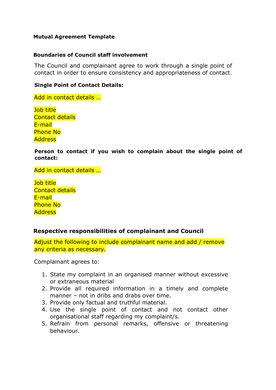#### **Mutual Agreement Template**

#### **Boundaries of Council staff involvement**

The Council and complainant agree to work through a single point of contact in order to ensure consistency and appropriateness of contact.

#### **Single Point of Contact Details:**

Add in contact details …

Job title Contact details E-mail Phone No **Address** 

**Person to contact if you wish to complain about the single point of contact:**

Add in contact details …

Job title Contact details E-mail Phone No **Address** 

### **Respective responsibilities of complainant and Council**

Adjust the following to include complainant name and add / remove any criteria as necessary.

Complainant agrees to:

- 1. State my complaint in an organised manner without excessive or extraneous material
- 2. Provide all required information in a timely and complete manner – not in dribs and drabs over time.
- 3. Provide only factual and truthful material.
- 4. Use the single point of contact and not contact other organisational staff regarding my complaint/s.
- 5. Refrain from personal remarks, offensive or threatening behaviour.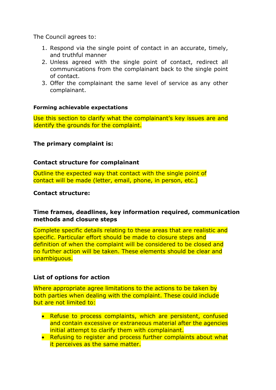The Council agrees to:

- 1. Respond via the single point of contact in an accurate, timely, and truthful manner
- 2. Unless agreed with the single point of contact, redirect all communications from the complainant back to the single point of contact.
- 3. Offer the complainant the same level of service as any other complainant.

#### **Forming achievable expectations**

Use this section to clarify what the complainant's key issues are and identify the grounds for the complaint.

### **The primary complaint is:**

#### **Contact structure for complainant**

Outline the expected way that contact with the single point of contact will be made (letter, email, phone, in person, etc.)

#### **Contact structure:**

### **Time frames, deadlines, key information required, communication methods and closure steps**

Complete specific details relating to these areas that are realistic and specific. Particular effort should be made to closure steps and definition of when the complaint will be considered to be closed and no further action will be taken. These elements should be clear and unambiguous.

#### **List of options for action**

Where appropriate agree limitations to the actions to be taken by both parties when dealing with the complaint. These could include but are not limited to:

- Refuse to process complaints, which are persistent, confused and contain excessive or extraneous material after the agencies initial attempt to clarify them with complainant.
- Refusing to register and process further complaints about what it perceives as the same matter.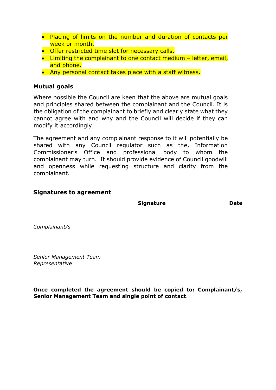- Placing of limits on the number and duration of contacts per week or month.
- Offer restricted time slot for necessary calls.
- Limiting the complainant to one contact medium letter, email, and phone.
- Any personal contact takes place with a staff witness.

### **Mutual goals**

Where possible the Council are keen that the above are mutual goals and principles shared between the complainant and the Council. It is the obligation of the complainant to briefly and clearly state what they cannot agree with and why and the Council will decide if they can modify it accordingly.

The agreement and any complainant response to it will potentially be shared with any Council regulator such as the, Information Commissioner's Office and professional body to whom the complainant may turn. It should provide evidence of Council goodwill and openness while requesting structure and clarity from the complainant.

#### **Signatures to agreement**

**Signature Date**

*Complainant/s*

*Senior Management Team Representative*

**Once completed the agreement should be copied to: Complainant/s, Senior Management Team and single point of contact**.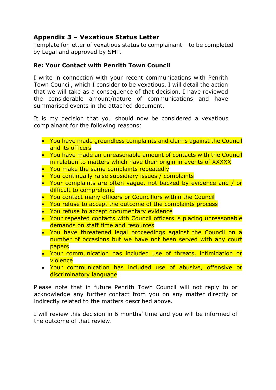# <span id="page-21-0"></span>**Appendix 3 – Vexatious Status Letter**

Template for letter of vexatious status to complainant – to be completed by Legal and approved by SMT.

# <span id="page-21-1"></span>**Re: Your Contact with Penrith Town Council**

I write in connection with your recent communications with Penrith Town Council, which I consider to be vexatious. I will detail the action that we will take as a consequence of that decision. I have reviewed the considerable amount/nature of communications and have summarised events in the attached document.

It is my decision that you should now be considered a vexatious complainant for the following reasons:

- You have made groundless complaints and claims against the Council and its officers
- You have made an unreasonable amount of contacts with the Council in relation to matters which have their origin in events of XXXXX
- You make the same complaints repeatedly
- You continually raise subsidiary issues / complaints
- Your complaints are often vague, not backed by evidence and / or difficult to comprehend
- You contact many officers or Councillors within the Council
- You refuse to accept the outcome of the complaints process
- You refuse to accept documentary evidence
- Your repeated contacts with Council officers is placing unreasonable demands on staff time and resources
- You have threatened legal proceedings against the Council on a number of occasions but we have not been served with any court papers
- Your communication has included use of threats, intimidation or violence
- Your communication has included use of abusive, offensive or discriminatory language

Please note that in future Penrith Town Council will not reply to or acknowledge any further contact from you on any matter directly or indirectly related to the matters described above.

I will review this decision in 6 months' time and you will be informed of the outcome of that review.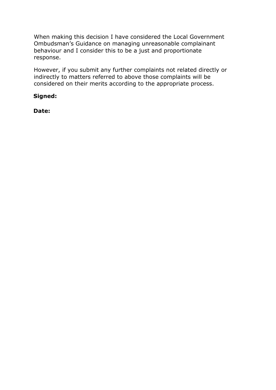When making this decision I have considered the Local Government Ombudsman's Guidance on managing unreasonable complainant behaviour and I consider this to be a just and proportionate response.

However, if you submit any further complaints not related directly or indirectly to matters referred to above those complaints will be considered on their merits according to the appropriate process.

# **Signed:**

**Date:**